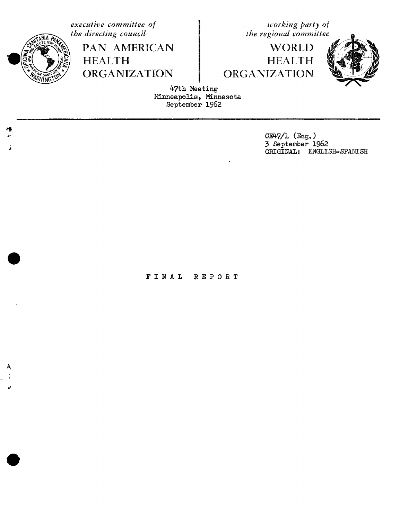&

ORGANIZATION ORGANIZATION

**executive** committee of **the directing council and interval committee of** *the directing council* **executive of** *the regional committee* 

PAN AMERICAN WORLD<br>HEALTH HEALTH **HEALTH** 



**,**,\_o**the directing council the regional committee ( :**\_\_\_\_ 47th Meeting Minneapolis, Minnesota September 1962

CE47/1 (Eng.)<br>3 September 1962 3 3 September 1962 ORIGINAL: ENGLISH-SPANISH

FINAL REPORT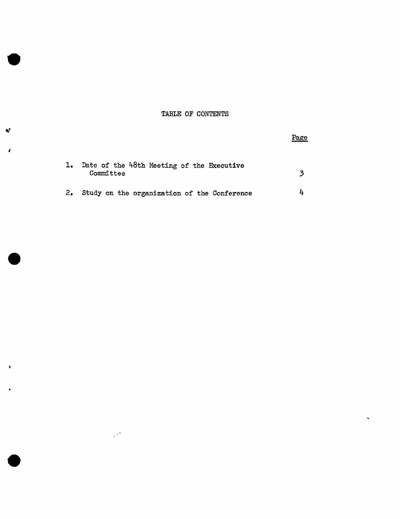# TABLE OF CONTENTS

|     | Date of the 48th Meeting of the Executive<br>Committee |  |
|-----|--------------------------------------------------------|--|
| -2. | Study on the organization of the Conference            |  |

 $\mathcal{P}^{\star}$ 

 $\mathbf{x}^{\star}$ 

ì

¥

Page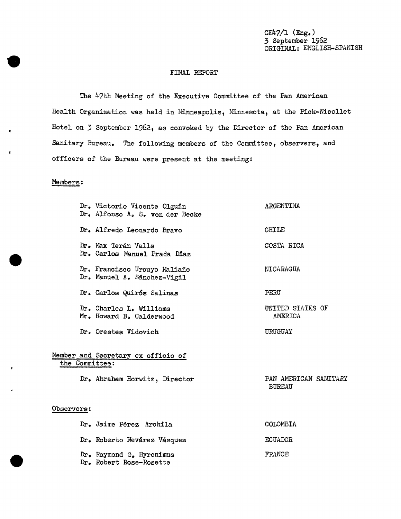c 7**/**1 (Eng.) 3 September 1962 ORIGINAL: ENGLISH-SPANISH

#### FINAL REPORT

The 47th Meeting of the Executive Committee of the Pan American Health Organization was held in Minneapolis, Min**n**esota, at the Pick-Nicollet Hotel on 3 September 1962, as convoked by the Director of the Pan American Sanitary Bureau. The following members of the Committee\_ obser**v**ers, and officers of the Bureau were present at the meeting:

## Members:

Dr. Victorio Vicente Olguin ARGENTINA Dr. Alfonso Ao S. yon der Becke Dr. Alfredo Leonardo Bravo CHILE Dr. Max Terán Valls **COSTARICA** Dr. Carlos Manuel Prada Diaz Dr. Francisco Urcuyo Maliaño NICARAGUA Dr. Manuel A. S\_nchez-Vigil Dr. Carlos Quir**6**s Salinas PERU Dr. Charles L. Williams UNITED STATES OF UNITED STATES OF AMERICA Mr. Howard B. Calderwood Dr. Orestes Vidovich URUGUAY Member and Secretary ex officio of the Committee: Dr. Abraham Horwitz\_ Direct*o*r PAN AMERICAN SANITARY BUREAU Observers: Dr. Jaime Pérez Archila COLOMBIA Dr. Roberto Nevárez Vásquez externa en ECUADOR Dr. Raymond G. Hyronimus FRANCE

Dr. Robert Rose-Rosette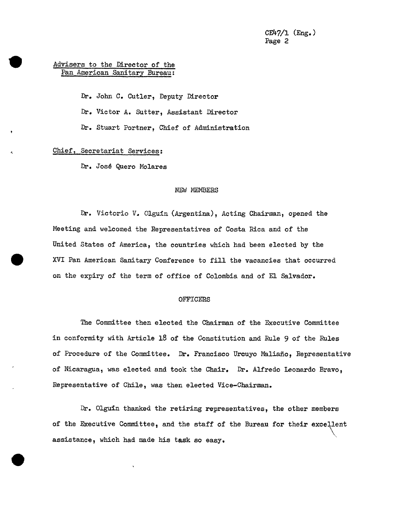## Advisers to the Director of the Pan American Sanitary Bureau:

Dr. John C. Cutler, Deputy Director Dr. Victor A. Sutter, Assistant Director Dr. Stuart Portner, Chief of Administration

### Chief, Secretariat Services:

Dr. José Quero Molares

#### NEW MEMBERS

Dr. Victorio V. Olgufn (Argentina), Acting Chairman, opened the Meeting and welcomed the Representatives of Costa Rica and of the United States of America, the countries which had been elected by the XVI Pan American Sanitary Conference to fill the vacancies that occurred on the expiry of the term of office of Colombia and of E1 Salvador.

#### OFFICERS

The Committee then elected the Chairman of the Executive Committee in conformity with Article 18 of the Constitution and Rule 9 of the Rules of Procedure of the Committee. Dr. Francisco Urcuyo Maliaño, Representative of Nicaragua, was elected and took the Chair. Dr. Alfredo Leonardo Bravo\_ Representative of Chile, was then elected Vice-Chairman.

Dr. Olgufn thanked the retiring representatives, the other members of the Executive Committee, and the staff of the Bureau for their excellent<br>assistance, which had made bis tesk so easy assistance, which had made his task so easy.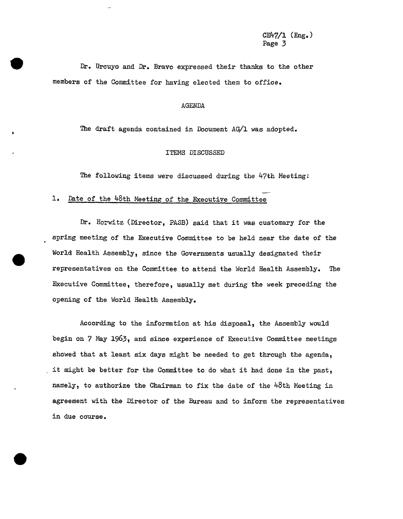Dr. Urcuyo a**n**d Dr. Bravo expressed their thanks to the other members of the Committee for having elected them to offioe.

#### AGENDA

The draft agenda contained in Document AG/1 was adopted.

#### ITEMS DISCUSSED

The following items were discussed during the 47th Meeting:

# 1. Date of the 48th Meeting of the Executive Committee

Dr. Horwitz (Director, PASB) said that it was customary for the spring meeting of the Executive Committee to be held near the date of the World Health Assembly, since the Governments usually designated their representatives on the Committee to attend the World Health Assembly. The Executive Committee, therefore, usually met during the week preceding the opening of the World Health Assembly.

According to the information at his disposal, the Assembly would begin on 7 May 1963, and since experience of Executive Committee meetings showed that at least six days might be needed to get through the agenda, it might be better for the Committee to do what it had done in the past, namely, to authorize the Chairman to fix the date of the  $48th$  Meeting in agreement with the Director of the Bureau and to inform the representatives in due course.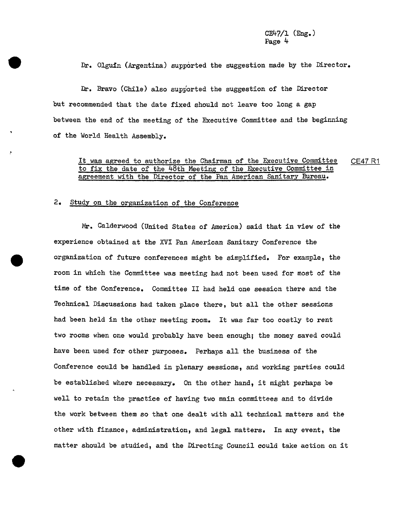Dr. Olguin (Argentina) supported the suggestion made by the Director.

Dr. Bravo (Chile) also supported the suggestion of the Director but recommended that the date fixed should not leave too long a gap between the end of the meeting of the Executive Committee and the beginning of the World Health Assembly.

# It was agreed to authorize the Chairman of the Executive **Committee 0**E47 R1 to fix the date of the 48th Meeting of the Executive Committee in agreement with the Director of the Pan American Sanitary Bureau.

### 2. Study on the organization of the Conference

Mr. Calderwood (United States of America) said that in view of the experience obtained at the XVI Pan American Sanitary Conference the organization of future conferences might be simplified. For example, the room in which the Committee was meeting had not been used for most of the time of the Conference, Committee II had held one session there and the Technical Discussions had taken place there, but all the other sessions had been held in the other meeting room. It was far too costly to rent two rooms when one would probably have been enough; the money saved could have been used for other purposes. Perhaps all the business of the Conference could be handled in plenary sessions, and working parties could be established where necessary. On the other hand, it might perhaps be well to retain the practice of having two main committees and to divide the work between them so that one dealt with all technical matters and the other with finance, administration, and legal matters. In any event\_ the matter should be studied, and the Directing Council could take action on it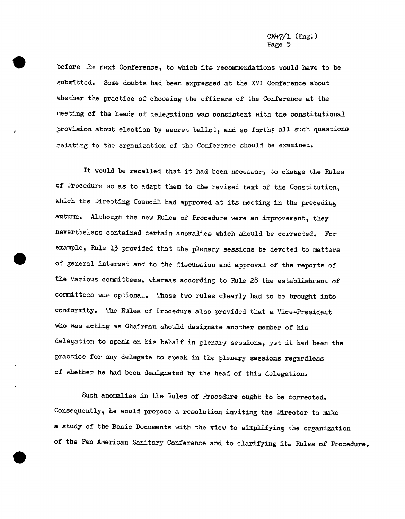before the next Conference, to which its recommendations would have to be submitted. Some doubts had been expressed at the XVI Conference about whether the practice of choosing the officers of the Conference at the meeting of the heads of delegations was consistent with the constitutional provision about election by secret ballot, and so forth; all such questions relating to the organization of the Conference should be examined.

It would be recalled that it had been necessary to change the Rules of Procedure so as to adapt them to the revised text of the Constitution, which the Directing Council had approved at its meeting in the preceding autumn. Although the new Rules of Procedure were an improvement, they nevertheless contained certain anomalies which should be corrected. For example, Rule 13 provided that the plenary sessions be devoted to matters of general interest and to the discussion and approval of the reports cf the various committees, whereas according to Rule 28 the establishment of committees was optional. Those two rules clearly had to be brought into conformity. The Rules of Procedure also provided that a Vice-President who was acting as Chairman should designate another member of his delegation to speak on his behalf in plenary sessions, yet it had been the practice for any delegate to speak in the plenary sessions regardless of whether he had been designated by the head of this delegation.

Such anomalies in the Rules of Procedure ought to be corrected. Consequently, he would propose a resolution inviting the Director to make a study of the Basic Documents with the view to simplifying the organization of the Pan American Sanitary Conference and to clarifying its Rules of Procedure.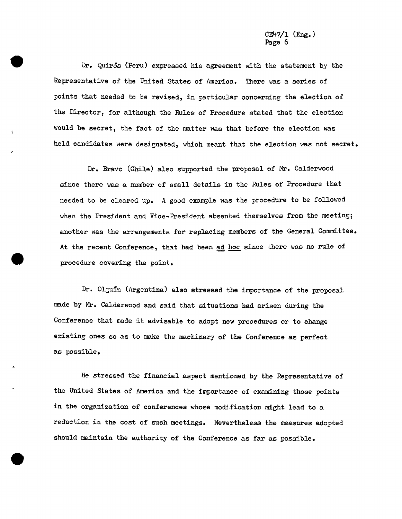Dr. QuirSs (Peru) expressed his agreement with the statement by the Representative of the United States of America. There was a series of points that needed to be revised, in particular concerning the election of the Director, for although the Rules of Procedure stated that the election would be secret, the fact of the matter was that before the election was held candidates were designated, which meant that the election was not secret.

Dr. Bravo (Chile) also supported the proposal of Mr. Calderwood since there was a number of small details in the Rules of Procedure that needed to be cleared up. A good example was the procedure to be followed when the President and Vice-President absented themselves from the meeting; another was the arrangements for replacing members of the General Committee. At the recent Conference, that had been ad hoc since there was no rule of procedure covering the point.

Dr. Olguin (Argentina) also stressed the importance of the proposal made by Mr. Calderwood and said that situations had arisen during the Conference that made it advisable to adopt new procedures or to change existing ones so as to make the machinery of the Conference as perfect as possible.

He stressed the financial aspect mentioned by the Representative of the United States of America and the importance of examining those points in the organization of conferences whose modification might lead to a reduction in the cost of such meetings. Nevertheless the measures adopted should maintain the authority of the Conference as far as possible.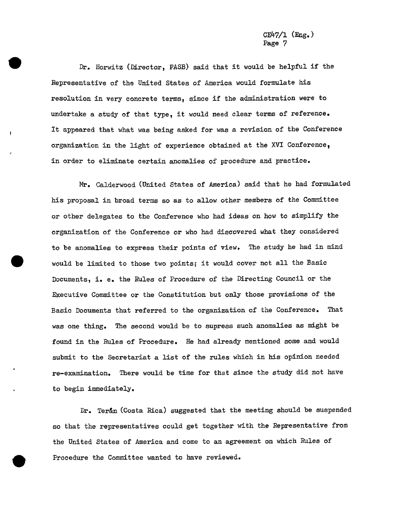Dr. Horwitz (Director, PASB) said that it would be helpful if the Representative of the United States of America would formulate his resolution in very concrete terms, since if the administration were to undertake a study of that type, it would need clear terms of reference. It appeared that what was being asked for was a revision of the Conference organization in the light of experience obtained at the X**V**I Conference\_ in order to eliminate certain anomalies of procedure and practice.

Mr. Calderwood (United States of America) said that he had formulated his proposal in broad terms so as to allow other members of the Committee or other delegates to the Conference who had ideas on how to simplify the organization of the Conference or who had discovered what they considered to be anomalies to express their points of view. The study he had in mind would be limited to those two points; it would cover not all the Basic Documents, i. e. the Rules of Procedure of the Directing Council or the Executive Committee or the Constitution but only those provisions of the Basic Documents that referred to the organization of the Conference. That was one thing. The second would be to supress such anomalies as might be found in the Rules of Procedure. He had already mentioned some and would submit to the Secretariat a list of the rules which in his opinion needed re-examination. There would be time for that since the study did not have to begi**n** immediately.

Dr. Teran (Costa Rica) suggested that the meeting should be suspended so that the representatives could get together with the Representative from the United States of America and come to an agreement on which Rules of Procedure the Committee wanted to have reviewed.

i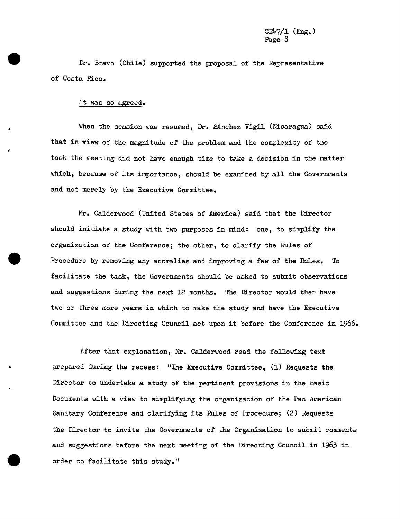Dr. Bravo (Chile) supported the proposal of the Representative of Costa Rica.

#### It was so agreed.

¢ When the session was resumed, Dr. SAnchez Vigil (Nicaragua) said that in view of the magnitude of the problem and the complexity of the task the meeting did not have enough time to take a decision in the matter which, because of its importance, should be examined by all the Governments and not merely by the Executive Committee.

Mr. Calderwood (United States of America) said that the Director should initiate a study with two purposes in mind: one, to simplify the organization of the Conference; the other, to clarify the Rules of Procedure by removing any anomalies and improving a few of the Rules. To facilitate the task, the Governments should be asked to submit observations and suggestions during the next 12 months. The Director would then have two or three more years in which to make the study and have the Executive Committee and the Directing Council act upon it before the Conference in  $1966$ .

After that explanation, Mr. Calderwood read the following text · prepared during the recess: "The Executive Committee, (1) Requests the Director to undertake a study of the pertinent provisions in the Basic Documents with a view to simplifying the organization of the Pan American Sanitary Conference and clarifying its Rules of Procedure; (2) Requests the Director to invite the Governments of the Organization to submit comments and suggestions before the next meeting of the Directing Council in 1963 in order to facilitate this study."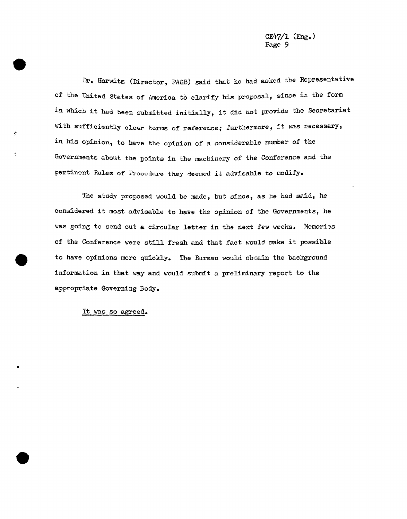Dr. Horwitz (Director, PASB) said that he had asked the Representative of the United States of America to clarify his proposal, since in the form in which it had been submitted initially, it did not provide the Secretariat with sufficiently clear terms of reference; furthermore, it was necessary, in his opinion\_ to have the opinion of a consid**e**rable number of the Governments about the points in the machinery of the Conference and the pertinent Rules of PI'ocedure they dee**m**ed it advisable to modify.

The study proposed would be made, but since, as he had said, he considered it most advisable to have the opinion of the Governments, he was going to send out a circular letter in the next few weeks. Memories of the Conference were still fresh and that fact would make it possible to have opinions more quickly. The Bureau would obtain the background information in that way and would submit a preliminary report t**o** the appropriate Governing Body.

It was so agreed.

 $\mathcal{L}_{\mathcal{L}}$